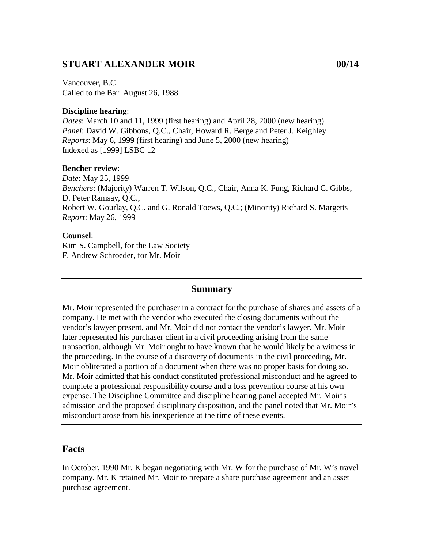## **STUART ALEXANDER MOIR 00/14**

Vancouver, B.C. Called to the Bar: August 26, 1988

#### **Discipline hearing**:

*Dates*: March 10 and 11, 1999 (first hearing) and April 28, 2000 (new hearing) *Panel*: David W. Gibbons, Q.C., Chair, Howard R. Berge and Peter J. Keighley *Reports*: May 6, 1999 (first hearing) and June 5, 2000 (new hearing) Indexed as [1999] LSBC 12

#### **Bencher review**:

*Date*: May 25, 1999 *Benchers*: (Majority) Warren T. Wilson, Q.C., Chair, Anna K. Fung, Richard C. Gibbs, D. Peter Ramsay, Q.C., Robert W. Gourlay, Q.C. and G. Ronald Toews, Q.C.; (Minority) Richard S. Margetts *Report*: May 26, 1999

#### **Counsel**:

Kim S. Campbell, for the Law Society F. Andrew Schroeder, for Mr. Moir

#### **Summary**

Mr. Moir represented the purchaser in a contract for the purchase of shares and assets of a company. He met with the vendor who executed the closing documents without the vendor's lawyer present, and Mr. Moir did not contact the vendor's lawyer. Mr. Moir later represented his purchaser client in a civil proceeding arising from the same transaction, although Mr. Moir ought to have known that he would likely be a witness in the proceeding. In the course of a discovery of documents in the civil proceeding, Mr. Moir obliterated a portion of a document when there was no proper basis for doing so. Mr. Moir admitted that his conduct constituted professional misconduct and he agreed to complete a professional responsibility course and a loss prevention course at his own expense. The Discipline Committee and discipline hearing panel accepted Mr. Moir's admission and the proposed disciplinary disposition, and the panel noted that Mr. Moir's misconduct arose from his inexperience at the time of these events.

### **Facts**

In October, 1990 Mr. K began negotiating with Mr. W for the purchase of Mr. W's travel company. Mr. K retained Mr. Moir to prepare a share purchase agreement and an asset purchase agreement.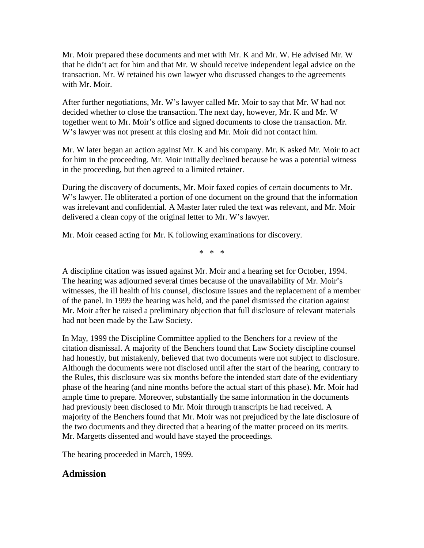Mr. Moir prepared these documents and met with Mr. K and Mr. W. He advised Mr. W that he didn't act for him and that Mr. W should receive independent legal advice on the transaction. Mr. W retained his own lawyer who discussed changes to the agreements with Mr. Moir.

After further negotiations, Mr. W's lawyer called Mr. Moir to say that Mr. W had not decided whether to close the transaction. The next day, however, Mr. K and Mr. W together went to Mr. Moir's office and signed documents to close the transaction. Mr. W's lawyer was not present at this closing and Mr. Moir did not contact him.

Mr. W later began an action against Mr. K and his company. Mr. K asked Mr. Moir to act for him in the proceeding. Mr. Moir initially declined because he was a potential witness in the proceeding, but then agreed to a limited retainer.

During the discovery of documents, Mr. Moir faxed copies of certain documents to Mr. W's lawyer. He obliterated a portion of one document on the ground that the information was irrelevant and confidential. A Master later ruled the text was relevant, and Mr. Moir delivered a clean copy of the original letter to Mr. W's lawyer.

Mr. Moir ceased acting for Mr. K following examinations for discovery.

\* \* \*

A discipline citation was issued against Mr. Moir and a hearing set for October, 1994. The hearing was adjourned several times because of the unavailability of Mr. Moir's witnesses, the ill health of his counsel, disclosure issues and the replacement of a member of the panel. In 1999 the hearing was held, and the panel dismissed the citation against Mr. Moir after he raised a preliminary objection that full disclosure of relevant materials had not been made by the Law Society.

In May, 1999 the Discipline Committee applied to the Benchers for a review of the citation dismissal. A majority of the Benchers found that Law Society discipline counsel had honestly, but mistakenly, believed that two documents were not subject to disclosure. Although the documents were not disclosed until after the start of the hearing, contrary to the Rules, this disclosure was six months before the intended start date of the evidentiary phase of the hearing (and nine months before the actual start of this phase). Mr. Moir had ample time to prepare. Moreover, substantially the same information in the documents had previously been disclosed to Mr. Moir through transcripts he had received. A majority of the Benchers found that Mr. Moir was not prejudiced by the late disclosure of the two documents and they directed that a hearing of the matter proceed on its merits. Mr. Margetts dissented and would have stayed the proceedings.

The hearing proceeded in March, 1999.

### **Admission**